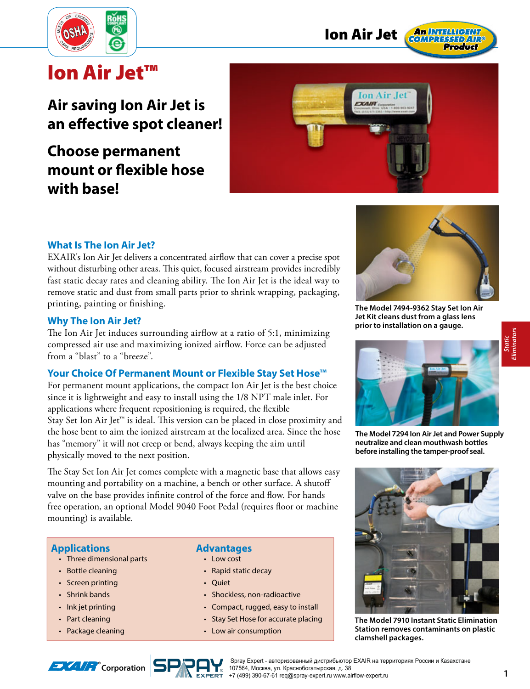



# **Ion Air Jet™**

# **Air saving Ion Air Jet is an eff ective spot cleaner!**

# **Choose permanent mount or flexible hose with base!**



## **What Is The Ion Air Jet?**

EXAIR's Ion Air Jet delivers a concentrated airflow that can cover a precise spot without disturbing other areas. This quiet, focused airstream provides incredibly fast static decay rates and cleaning ability. The Ion Air Jet is the ideal way to remove static and dust from small parts prior to shrink wrapping, packaging, printing, painting or finishing.

#### **Why The Ion Air Jet?**

The Ion Air Jet induces surrounding airflow at a ratio of 5:1, minimizing compressed air use and maximizing ionized airflow. Force can be adjusted from a "blast" to a "breeze".

#### **Your Choice Of Permanent Mount or Flexible Stay Set Hose™**

For permanent mount applications, the compact Ion Air Jet is the best choice since it is lightweight and easy to install using the 1/8 NPT male inlet. For applications where frequent repositioning is required, the flexible Stay Set Ion Air Jet™ is ideal. This version can be placed in close proximity and the hose bent to aim the ionized airstream at the localized area. Since the hose has "memory" it will not creep or bend, always keeping the aim until physically moved to the next position.

The Stay Set Ion Air Jet comes complete with a magnetic base that allows easy mounting and portability on a machine, a bench or other surface. A shutoff valve on the base provides infinite control of the force and flow. For hands free operation, an optional Model 9040 Foot Pedal (requires floor or machine mounting) is available.

#### **Applications**

- Three dimensional parts
- Bottle cleaning
- Screen printing
- Shrink bands
- Ink jet printing
- Part cleaning
- Package cleaning

#### **Advantages**

- Low cost
- Rapid static decay
- Quiet
- Shockless, non-radioactive
- Compact, rugged, easy to install
- Stay Set Hose for accurate placing
- Low air consumption



**The Model 7494-9362 Stay Set Ion Air Jet Kit cleans dust from a glass lens prior to installation on a gauge.**



**The Model 7294 Ion Air Jet and Power Supply neutralize and clean mouthwash bottles before installing the tamper-proof seal.**



**The Model 7910 Instant Static Elimination Station removes contaminants on plastic clamshell packages.**